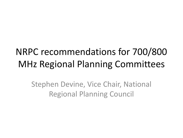### NRPC recommendations for 700/800 MHz Regional Planning Committees

Stephen Devine, Vice Chair, National Regional Planning Council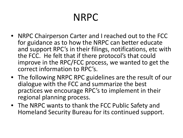# NRPC

- NRPC Chairperson Carter and I reached out to the FCC for guidance as to how the NRPC can better educate and support RPC's in their filings, notifications, etc with the FCC. He felt that if there protocol's that could improve in the RPC/FCC process, we wanted to get the correct information to RPC's.
- The following NRPC RPC guidelines are the result of our dialogue with the FCC and summarize the best practices we encourage RPC's to implement in their regional planning process.
- The NRPC wants to thank the FCC Public Safety and Homeland Security Bureau for its continued support.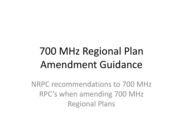# 700 MHz Regional Plan Amendment Guidance

NRPC recommendations to 700 MHz RPC's when amending 700 MHz Regional Plans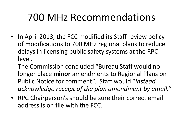## 700 MHz Recommendations

• In April 2013, the FCC modified its Staff review policy of modifications to 700 MHz regional plans to reduce delays in licensing public safety systems at the RPC level.

The Commission concluded "Bureau Staff would no longer place **minor** amendments to Regional Plans on Public Notice for comment". Staff would "*instead acknowledge receipt of the plan amendment by email."*

• RPC Chairperson's should be sure their correct email address is on file with the FCC.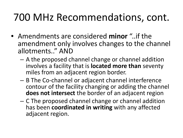## 700 MHz Recommendations, cont.

- Amendments are considered **minor** "..if the amendment only involves changes to the channel allotments.." AND
	- A the proposed channel change or channel addition involves a facility that is **located more than** seventy miles from an adjacent region border.
	- B The Co-channel or adjacent channel interference contour of the facility changing or adding the channel **does not intersect** the border of an adjacent region
	- C The proposed channel change or channel addition has been **coordinated in writing** with any affected adjacent region.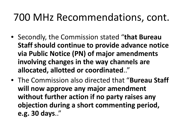### 700 MHz Recommendations, cont.

- Secondly, the Commission stated "**that Bureau Staff should continue to provide advance notice via Public Notice (PN) of major amendments involving changes in the way channels are allocated, allotted or coordinated**.."
- The Commission also directed that "**Bureau Staff will now approve any major amendment without further action if no party raises any objection during a short commenting period, e.g. 30 days**.."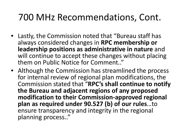#### 700 MHz Recommendations, Cont.

- Lastly, the Commission noted that "Bureau staff has always considered changes in **RPC membership or leadership positions as administrative in nature** and will continue to accept these changes without placing them on Public Notice for Comment.."
- Although the Commission has streamlined the process for internal review of regional plan modifications, the Commission stated that "**RPC's shall continue to notify the Bureau and adjacent regions of any proposed modification to their Commission-approved regional plan as required under 90.527 (b) of our rules**…to ensure transparency and integrity in the regional planning process.."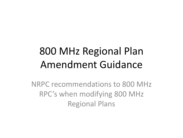# 800 MHz Regional Plan Amendment Guidance

NRPC recommendations to 800 MHz RPC's when modifying 800 MHz Regional Plans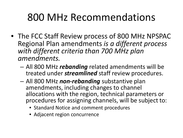### 800 MHz Recommendations

- The FCC Staff Review process of 800 MHz NPSPAC Regional Plan amendments *is a different process with different criteria than 700 MHz plan amendments.*
	- All 800 MHz *rebanding* related amendments will be treated under *streamlined* staff review procedures.
	- All 800 MHz *non-rebanding* substantive plan amendments, including changes to channel allocations with the region, technical parameters or procedures for assigning channels, will be subject to:
		- Standard Notice and comment procedures
		- Adjacent region concurrence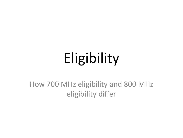# Eligibility

How 700 MHz eligibility and 800 MHz eligibility differ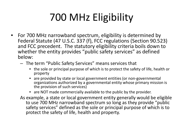# 700 MHz Eligibility

- For 700 MHz narrowband spectrum, eligibility is determined by Federal Statute (47 U.S.C. 337 (f), FCC regulations (Section 90.523) and FCC precedent. The statutory eligibility criteria boils down to whether the entity provides "public safety services" as defined below:
	- The term "Public Safety Services" means services that
		- the sole or principal purpose of which is to protect the safety of life, health or property
		- are provided by state or local government entities (or non-governmental organizations authorized by a governmental entity whose primary mission is the provision of such services)
		- are NOT made commercially available to the public by the provider.
	- As example, a state or local government entity generally would be eligible to use 700 MHz narrowband spectrum so long as they provide "public safety services" defined as the sole or principal purpose of which is to protect the safety of life, health and property.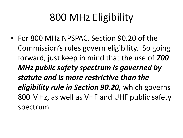## 800 MHz Eligibility

• For 800 MHz NPSPAC, Section 90.20 of the Commission's rules govern eligibility. So going forward, just keep in mind that the use of *700 MHz public safety spectrum is governed by statute and is more restrictive than the eligibility rule in Section 90.20,* which governs 800 MHz, as well as VHF and UHF public safety spectrum.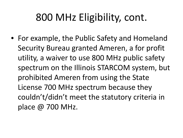# 800 MHz Eligibility, cont.

• For example, the Public Safety and Homeland Security Bureau granted Ameren, a for profit utility, a waiver to use 800 MHz public safety spectrum on the Illinois STARCOM system, but prohibited Ameren from using the State License 700 MHz spectrum because they couldn't/didn't meet the statutory criteria in place @ 700 MHz.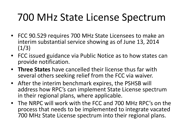## 700 MHz State License Spectrum

- FCC 90.529 requires 700 MHz State Licensees to make an interim substantial service showing as of June 13, 2014  $(1/3)$
- FCC issued guidance via Public Notice as to how states can provide notification.
- **Three States** have cancelled their license thus far with several others seeking relief from the FCC via waiver.
- After the interim benchmark expires, the PSHSB will address how RPC's can implement State License spectrum in their regional plans, where applicable.
- The NRPC will work with the FCC and 700 MHz RPC's on the process that needs to be implemented to integrate vacated 700 MHz State License spectrum into their regional plans.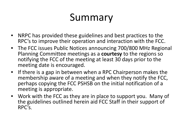## Summary

- NRPC has provided these guidelines and best practices to the RPC's to improve their operation and interaction with the FCC.
- The FCC issues Public Notices announcing 700/800 MHz Regional Planning Committee meetings as a **courtesy** to the regions so notifying the FCC of the meeting at least 30 days prior to the meeting date is encouraged.
- If there is a gap in between when a RPC Chairperson makes the membership aware of a meeting and when they notify the FCC, perhaps copying the FCC PSHSB on the initial notification of a meeting is appropriate.
- Work with the FCC as they are in place to support you. Many of the guidelines outlined herein aid FCC Staff in their support of RPC's.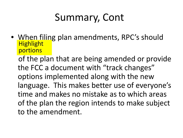## Summary, Cont

• When filing plan amendments, RPC's should Highlight portions

 of the plan that are being amended or provide the FCC a document with "track changes" options implemented along with the new language. This makes better use of everyone's time and makes no mistake as to which areas of the plan the region intends to make subject to the amendment.